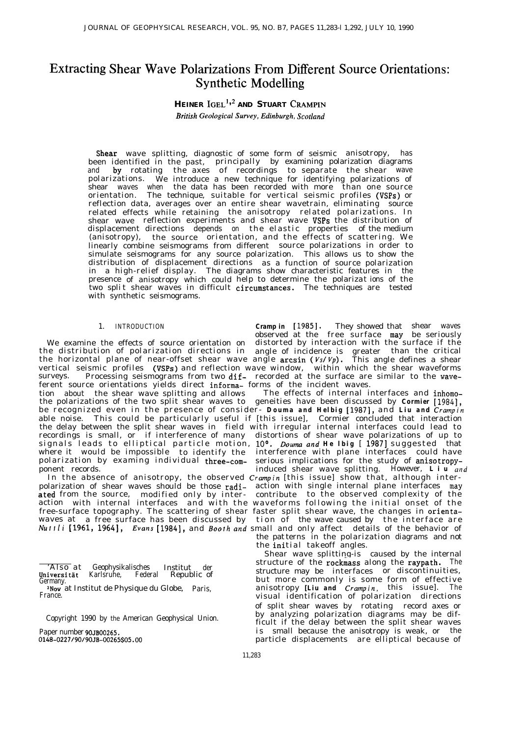# Extracting Shear Wave Polarizations From Different Source Orientations: Synthetic Modelling

# **HEINER**  $IGEL<sup>1,2</sup>$  and **STUART** CRAMPIN *British Geological Survey, Edinburgh, Scotland*

wave splitting, diagnostic of some form of seismic anisotropy, has been identified in the past, principally of recordings by examining polarization diagrams and **by** rotating the axes of recordings to separate the shear wave polarizations. We introduce a new technique for identifying polarizations of shear waves when the data has been recorded with more than one source orientation. The technique, suitable for vertical seismic profiles (VSPs) or reflection data, averages over an entire shear wavetrain, eliminating source related effects while retaining the anisotropy related polarizations. In shear wave reflection experiments and shear wave VSPs the distribution of displacement directions depends on the elastic properties of the medium (anisotropy), the source orientation, and the effects of scattering. We linearly combine seismograms from different source polarizations in order to simulate seismograms for any source polarization. This allows us to show the distribution of displacement directions as a function of source polarization in a high-relief display. The diagrams show characteristic features in the presence of anisotropy which could help to determine the polarizat ions of the two split shear waves in difficult circumstances. The techniques are tested with synthetic seismograms.

### 1. INTRODUCTION *Cramp in* [1985].

the distribution of polarization directions in angle of incidence is greater than the critical the horizontal plane of near-offset shear wave angle  $arcsin (Vs/Vp)$ . This angle defines a shear vertical seismic profiles (VSPs) and reflection wave window, within which the shear waveforms surveys. Processing seismograms from two dif- recorded at the surface are similar to the waveferent source orientations yields direct informa- forms of the incident waves.<br>tion about the shear wave splitting and allows The effects of internal interfaces and inhomotion about the shear wave splitting and allows the polarizations of the two split shear waves to geneities have been discussed by *Cormier [1984],* be recognized even in the presence of consider- *Douma and Helbig* [1987], and *Liu and Crampin* able noise. This could be particularly useful if [this issue], Cormier concluded that interaction the delay between the split shear waves in field with irregular internal interfaces could lead to recordings is small, or if interference of many distortions of shear wave polarizations of up to signals leads to elliptical particle motion, 10°. Douma and He Ibig [ 1987] suggested that where it would be impossible to identify the

polarization of shear waves should be those radi- action with single internal plane interfaces may ated from the source, modified only by inter- contribute to the observed complexity of the ated from the source, modified only by inter - contribute to the observed complexity of the action with internal interfaces and with the waveforms following the initial onset of the free-surface topography. The scattering of shear faster split shear wave, the changes in orientawaves at a free surface has been discussed by tion of the wave caused by the interface are Nuttli j1961, 19641, *Evans* [1984], and *Booth and* small and only affect details of the behavior of

observed at the free surface may be seriously They showed that shear waves We examine the effects of source orientation on distorted by interaction with the surface if the

polarization by examing individual three-com-<br>polarization by examing individual three-com-<br>polarization by examing individual three-com-<br>induced shear wave splitting. However,  $L i u$  and induced shear wave splitting. However, *Liu and* In the absence of anisotropy, the observed *Crampin* [this issue] show that, although interthe patterns in the polarization diagrams and not

the initial takeoff angles.

Shear wave splitting-is caused by the internal structure of the rockmass along the raypath. The structure may be interfaces or discontinuities, but more commonly is some form of effective anisotropy *[Liu and Crampin,* this issue]. The visual identification of polarization directions of split shear waves by rotating record axes or by analyzing polarization diagrams may be difficult if the delay between the split shear waves Copyright 1990 by the American Geophysical Union. Paper number 90JB00265. i s small because the anisotropy is weak, or the particle displacements are elliptical because of

<sup>&#</sup>x27;Also at Geophysikalisches Institut der Republic of Germany.

<sup>&</sup>lt;sup>2</sup>Now at Institut de Physique du Globe, Paris, France.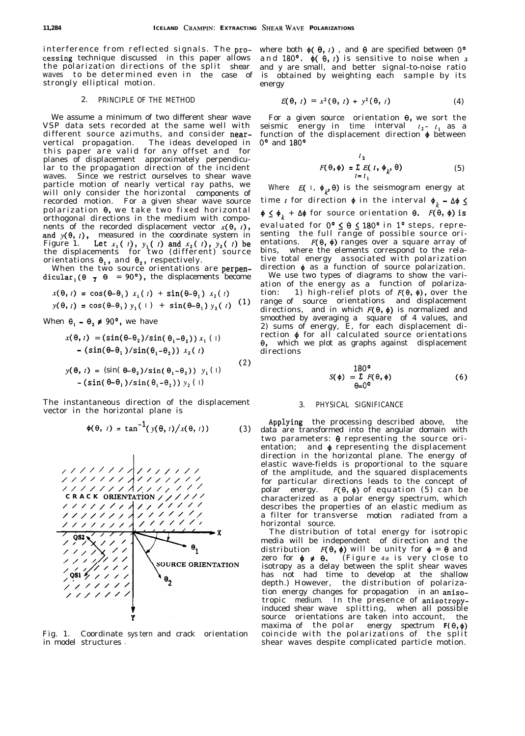interference from reflected signals. The pro- where both  $\phi(\theta, t)$ , and  $\theta$  are specified between  $0^{\circ}$ cessing technique discussed in this paper allows and 180°.  $\phi(\theta, t)$  is sensitive to noise when x cessing technique discussed in this paper allows and 180°.  $\phi$ ( $\theta$ , *t*) is sensitive to noise when *x* the polarization directions of the split shear and *y* are small, and better signal-to-noise ratio waves to be determined even in the case of strongly elliptical motion.

### 2. PRINCIPLE OF THE METHOD

We assume a minimum of two different shear wave VSP data sets recorded at the same well with different source azimuths, and consider near-<br>vertical propagation. The ideas developed in The ideas developed in this paper are valid for any offset and for planes of displacement approximately perpendicular to the propagation direction of the incident waves. Since we restrict ourselves to shear wave particle motion of nearly vertical ray paths, we will only consider the horizontal components of recorded motion. For a given shear wave source polarization  $\theta$ , we take two fixed horizontal orthogonal directions in the medium with components of the recorded displacement vector  $x(\theta, t)$ , and  $y(\theta, t)$ , measured in the coordinate system in Figure 1.  $\int$  Let  $x_1$  (*t*),  $y_1$  (*t*) and  $x_2$  (*t*),  $y_2$  (*t*) be the displacements for two (different) source orientations  $\theta_1$ , and  $\theta_2$ , respectively.

When the two source orientations are perpendicular<sub>1</sub>( $\theta$   $\bar{z}$   $\theta$  = 90°), the displacements become

$$
x(\theta, t) = \cos(\theta - \theta_1) x_1(t) + \sin(\theta - \theta_1) x_2(t)
$$

$$
y(\theta, t) = \cos(\theta - \theta_1) y_1(1) + \sin(\theta - \theta_1) y_2(t)
$$
 (1)

When  $\theta_1 - \theta_2 \neq 90^{\circ}$ , we have

$$
x(\theta, t) = (\sin(\theta - \theta_2)/\sin(\theta_1 - \theta_2)) x_1 (1)
$$
  
-(\sin(\theta - \theta\_1)/\sin(\theta\_1 - \theta\_2)) x\_2 (t) (2)

$$
y(\theta, t) = (\sin(\theta - \theta_2)/\sin(\theta_1 - \theta_2)) y_1(1)
$$
  
–  $(\sin(\theta - \theta_1)/\sin(\theta_1 - \theta_2)) y_2(1)$ 

The instantaneous direction of the displacement The instantaneous direction of the displacement 3. PHYSICAL SIGNIFICANCE vector in the horizontal plane is

$$
\phi(\theta, t) = \tan^{-1}(y(\theta, t)/x(\theta, t))
$$
 (3)



Fig. 1. Coordinate sys tern and crack orientation in model structures .

obtained by weighting each sample by its energy

$$
E(\theta, t) = x^2(\theta, t) + y^2(\theta, t) \qquad (4)
$$

For a given source orientation  $\theta$ , we sort the seismic energy in time interval  $t_2 - t_1$  as a function of the displacement direction  $\phi$  between O" and 180°

$$
F(\theta, \phi) = \sum_{i=1}^{l_2} E(i, \phi_{k}, \theta)
$$
 (5)

Where  $E(\,I, \phi_{\mu} \theta)$  is the seismogram energy at time *t* for direction  $\phi$  in the interval  $\phi_k - \Delta \phi \leq$  $\phi \leq \phi_k + \Delta \phi$  for source orientation  $\theta$ .  $F(\theta, \phi)$  is evaluated for 0° ζ θ ζ 180° in 1° steps, repre– senting the full range of possible source orientations.  $F(\theta, \phi)$  ranges over a square array of bins, where the elements correspond to the relative total energy associated with polarization direction  $\phi$  as a function of source polarization. We use two types of diagrams to show the vari-

ation of the energy as a function of polarization: 1) high-relief plots of *F(e, +),* over the range of source orientations and displacement directions, and in which  $F(\theta, \phi)$  is normalized and smoothed by averaging a square of 4 values, and 2) sums of energy, E, for each displacement direction  $\phi$  for all calculated source orientations 8, which we plot as graphs against displacement directions

$$
S(\phi) = \sum_{\Theta = 0^{\mathbf{0}}}^{180^{\mathbf{0}}} F(\Theta, \phi) \tag{6}
$$

Applying the processing described above, the data are transformed into the angular domain with two parameters:  $\theta$  representing the source orientation; and  $\phi$  representing the displacement direction in the horizontal plane. The energy of elastic wave-fields is proportional to the square of the amplitude, and the squared displacements for particular directions leads to the concept of polar energy.  $F(\theta, \phi)$  of equation (5) can be characterized as a polar energy spectrum, which describes the properties of an elastic medium as a filter for transverse motion radiated from a horizontal source.

The distribution of total energy for isotropic media will be independent of direction and the distribution  $F(\theta, \phi)$  will be unity for  $\phi = \theta$  and zero for  $\phi \neq \theta$ . (Figure *4a* is very close to isotropy as a delay between the split shear waves has not had time to develop at the shallow depth.) However, the distribution of polarization energy changes for propagation in an anisotropic medium. In the presence of anisotropyinduced shear wave splitting, when all possible source orientations are taken into account, the maxima of the polar energy spectrum *F( 8, \$)* coincide with the polarizations of the split shear waves despite complicated particle motion.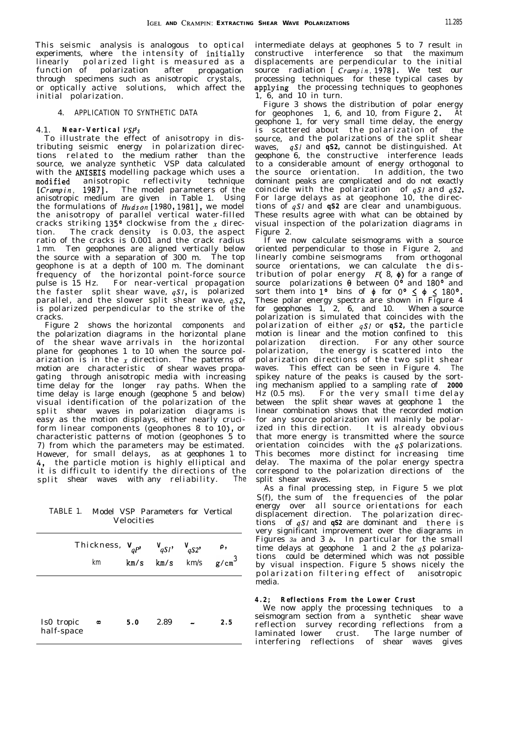This seismic analysis is analogous to optical experiments, where the intensity of initially linearly polarized light is measured as a function of polarization after propagation through specimens such as anisotropic crystals, or optically active solutions, which affect the initial polarization.

### 4. APPLICATION TO SYNTHETIC DATA

#### 4.1. *Near-Vertical VSPs*

To illustrate the effect of anisotropy in distributing seismic energy in polarization directions related to the medium rather than the source, we analyze synthetic VSP data calculated with the ANISEIS modelling package which uses a modified anisotropic reflectivity technique *[ Crampin,* 19871. The model parameters of the anisotropic medium are given in Table 1. Using the formulations of *Hudson* [1980, 1981], we model the anisotropy of parallel vertical water-filled cracks striking 135<sup>0</sup> clockwise from the x direction. The crack density is 0.03, the aspect ratio of the cracks is 0.001 and the crack radius 1 mm. Ten geophones are aligned vertically below the source with a separation of 300 m. The top geophone is at a depth of 100 m. The dominant frequency of the horizontal point-force source pulse is 15 Hz. For near-vertical propagation the faster split shear wave, *qS1*, is polarized parallel, and the slower split shear wave, *qS2,* is polarized perpendicular to the strike of the cracks.

Figure 2 shows the horizontal components and the polarization diagrams in the horizontal plane of the shear wave arrivals in the horizontal plane for geophones 1 to 10 when the source polarization is in the  $x$  direction. The patterns of motion are characteristic of shear waves propagating through anisotropic media with increasing time delay for the longer ray paths. When the time delay is large enough (geophone 5 and below) visual identification of the polarization of the split shear waves in polarization diagrams is easy as the motion displays, either nearly cruciform linear components (geophones 8 to 10), or characteristic patterns of motion (geophones 5 to 7) from which the parameters may be estimated. However, for small delays, as at geophones 1 to *4,* the particle motion is highly elliptical and it is difficult to identify the directions of the split shear waves with any reliability. The

TABLE 1. Model VSP Parameters for Vertical Velocities

|                          | Thickness, $V_{qp}$<br>km | km/s | $V_{qS1}$ , $V_{qS2}$ | $km/s$ $km/s$ | ρ,<br>$g/cm^3$ |
|--------------------------|---------------------------|------|-----------------------|---------------|----------------|
| Is0 tropic<br>half-space | $\infty$                  | 5.0  | 2.89                  |               | 2.5            |

intermediate delays at geophones 5 to 7 result in constructive interference so that the maximum displacements are perpendicular to the initial source radiation [ *Crampin, 19781.* We test our processing techniques for these typical cases by applying the processing techniques to geophones 1, 6, and 10 in turn.

Figure 3 shows the distribution of polar energy for geophones 1, 6, and 10, from Figure 2, At geophone 1, for very small time delay, the energy is scattered about the polarization of the source, and the polarizations of the split shear waves, *qS1* and *qS2,* cannot be distinguished. At geophone 6, the constructive interference leads to a considerable amount of energy orthogonal to<br>the source orientation. In addition, the two the source orientation. dominant peaks are complicated and do not exactly coincide with the polarization of *qSI* and *qS2.* For large delays as at geophone 10, the directions of *qSI* and *qS2* are clear and unambiguous. These results agree with what can be obtained by visual inspection of the polarization diagrams in Figure 2.

If we now calculate seismograms with a source oriented perpendicular to those in Figure 2, and linearly combine seismograms from orthogonal source orientations, we can calculate the dis tribution of polar energy  $F(8, 4)$  for a range of source polarizations  $\theta$  between  $0^{\circ}$  and  $180^{\circ}$  and source potentialisms  $\frac{1}{2}$  bins of  $\phi$  for  $0^{\circ} \leq \phi \leq 180^{\circ}$ . These polar energy spectra are shown in Figure 4 for geophones 1, 2, 6, and 10. When a source polarization is simulated that coincides with the polarization of either *qS1* or *qS2,* the particle motion is linear and the motion confined to this polarization direction. For any other source polarization, the energy is scattered into the polarization directions of the two split shear waves. This effect can be seen in Figure 4. The spikey nature of the peaks is caused by the sorting mechanism applied to a sampling rate of *2000* Hz (0.5 ms). For the very small time delay between the split shear waves at geophone 1 the linear combination shows that the recorded motion for any source polarization will mainly be polarized in this direction. It is already obvious It is already obvious that more energy is transmitted where the source orientation coincides with the *qS* polarizations. This becomes more distinct for increasing time delay. The maxima of the polar energy spectra correspond to the polarization directions of the split shear waves.

As a final processing step, in Figure 5 we plot S(f), the sum of the frequencies of the polar energy over all source orientations for each displacement direction. The polarization directions of  $aS$ *l* and  $aS$ <sup>2</sup> are dominant and there is very significant improvement over the diagrams in Figures  $3a$  and  $3b$ . In particular for the small time delays at geophone 1 and 2 the *qS* polarizations could be determined which was not possible by visual inspection. Figure 5 shows nicely the polarization filtering effect of anisotropic media.

# *4.2 ; Reflections From the Lower Crust*

We now apply the processing techniques to a seismogram section from a synthetic shear wave reflection survey recording reflections from a laminated lower crust. The large number of interfering reflections of shear waves gives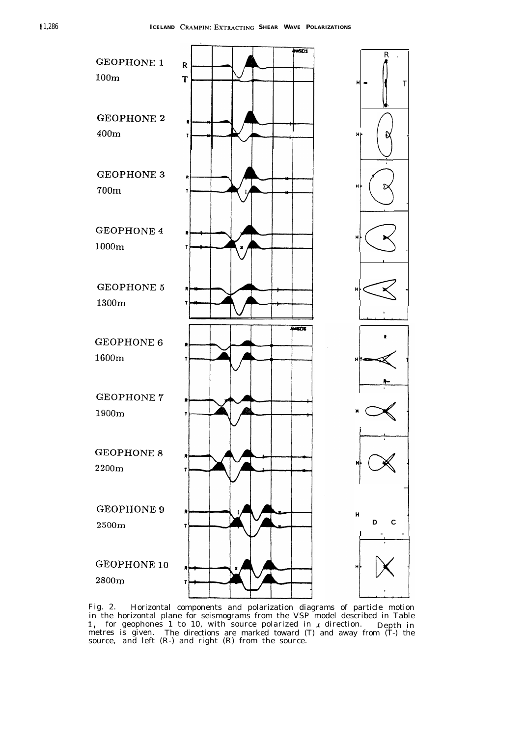

Fig. 2. Horizontal components and polarization diagrams of particle motion in the horizontal plane for seismograms from the VSP model described in Table  $1$ , for geophones  $1$  to  $10$ , with source polarized in  $x$  direction. 1, for geophones 1 to 10, with source polarized in *x* direction. Depth in<br>metres is given. The directions are marked toward (T) and away from (T-) the The directions are marked toward (T) and away from (T-) the source, and left (R-) and right (R) from the source.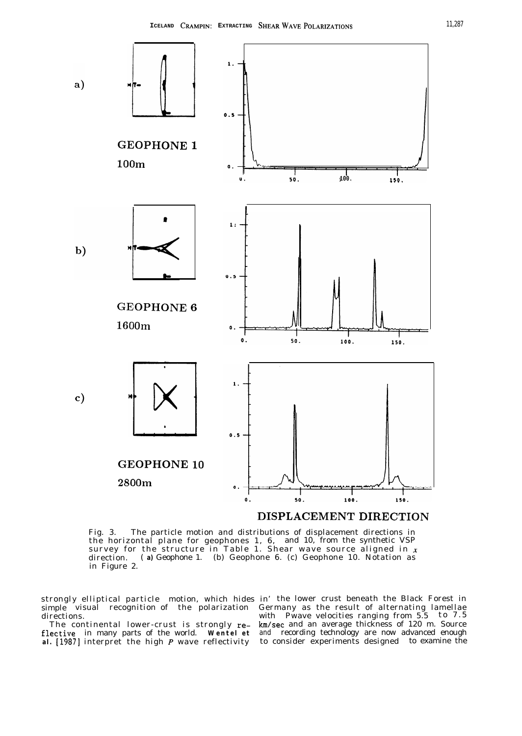

Fig. 3. The particle motion and distributions of displacement directions in the horizontal plane for geophones 1, 6, and 10, from the synthetic VSP survey for the structure in Table 1. Shear wave source aligned in  $\pmb{x}$ direction. ( *a)* Geophone 1. (b) Geophone 6. (c) Geophone 10. Notation as in Figure 2.

strongly elliptical particle motion, which hides in' the lower crust beneath the Black Forest in simple visual recognition of the polarization Germany as the result of alternating lamellae directions.

flective in many parts of the world. Wentel et and recording technology are now advanced enough al. [1987] interpret the high P wave reflectivity to consider experiments designed to examine the

with Pwave velocities ranging from 5.5 to 7.5 The continental lower-crust is strongly re- km/sec and an average thickness of 120 m. Source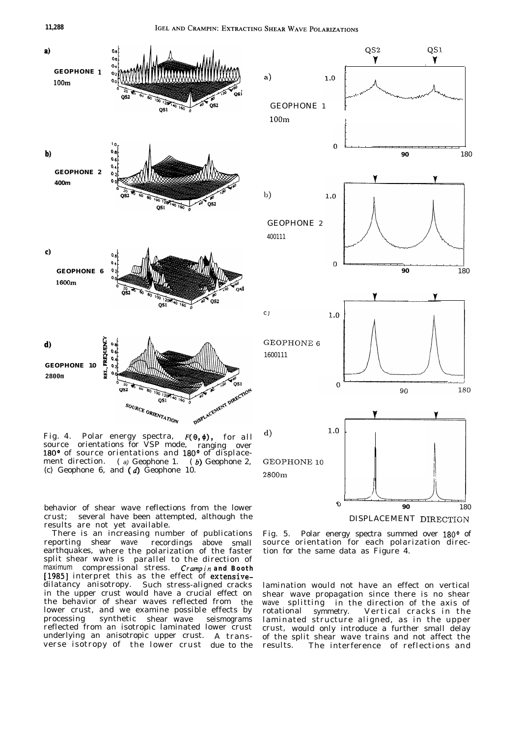

Fig. 4. Polar energy spectra,  $F(\theta, \phi)$ , for all source orientations for VSP mode. ranging over source orientations for VSP mode, ranging over 180° of source orientations and 180° of displacement direction. (a) Geophone 1. (b) Geophone 2, (c) Geophone 6, and  $(d)$  Geophone 10.

behavior of shear wave reflections from the lower crust; several have been attempted, although the results are not yet available.

There is an increasing number of publications reporting shear wave earthquakes, where the polarization of the faster recordings above small split shear wave is parallel to the direction of maximum compressional stress. *Crampin and Booth* [1985] interpret this as the effect of extensivedilatancy anisotropy. Such stress-aligned cracks in the upper crust would have a crucial effect on the behavior of shear waves reflected from the lower crust, and we examine possible effects by processing synthetic shear wave seismograms reflected from an isotropic laminated lower crust underlying an anisotropic upper crust. A transverse isotropy of the lower crust due to the



Fig. 5. Polar energy spectra summed over 180° of source orientation for each polarization direction for the same data as Figure 4.

lamination would not have an effect on vertical shear wave propagation since there is no shear wave splitting in the direction of the axis of rotational symmetry. Vertical cracks in the laminated structure aligned, as in the upper crust, would only introduce a further small delay of the split shear wave trains and not affect the results. The interference of reflections and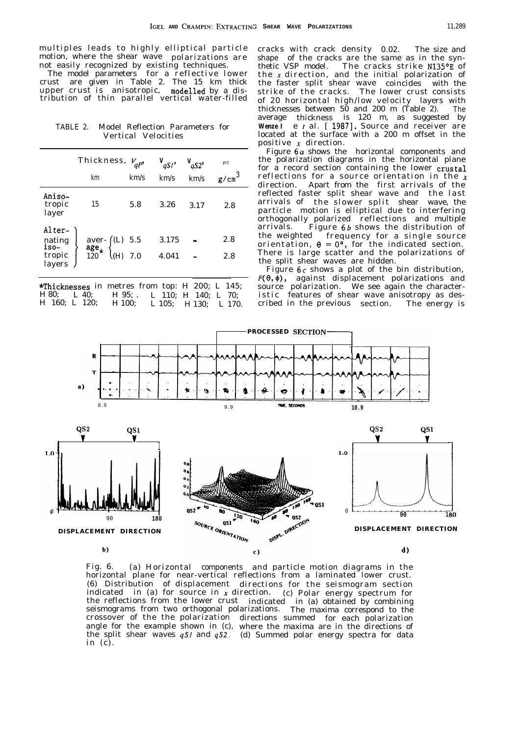multiples leads to highly elliptical particle muttion, where the shear wave polarizations are not easily recognized by existing techniques.

The model parameters for a reflective lower crust are given in Table 2. The 15 km thick upper crust is anisotropic, modelled by a distribution of thin parallel vertical water-filled

TABLE 2. Model Reflection Parameters for Vertical Velocities

|                                              | Thickness, $V_{qp}$ ,<br>km                                                               | km/s | $V_{qSI}$<br>km/s | $V_{qS2}$<br>km/s | P?<br>$g/cm^3$ |
|----------------------------------------------|-------------------------------------------------------------------------------------------|------|-------------------|-------------------|----------------|
| Aniso-<br>tropic<br>layer                    | 15                                                                                        | 5.8  | 3.26              | 3.17              | 2.8            |
| Alter-<br>nating<br>1so-<br>tropic<br>layers | aver-<br>$\underset{120}{\text{age}}$ $\star$ (L) 5.5<br>$\underset{120}{\text{age}}$ 7.0 |      | 3.175<br>4.041    |                   | 2.8<br>2.8     |

**\*Thicknesses** in metres from top: H 200; L 145; H 80; L 40; L 40; H 95; L 110; H 140; L 70; H 80; L 40; H 95; . H 160; L 120; L 110; H 140; L 70; H 100; L 105; H 130; L 170.

cracks with crack density 0.02. The size and shape of the cracks are the same as in the synthetic VSP model. The cracks strike  $N135^{\circ}F$  of the x direction, and the initial polarization of the faster split shear wave coincides with the strike of the cracks. The lower crust consists of 20 horizontal high/low velocity layers with thicknesses between  $50$  and  $200$  m (Table  $2$ ). The average thickness is 120 m, as suggested by Wenze I e t al. [ 1987]. Source and receiver are located at the surface with a 200 m offset in the positive x direction.

Figure 6a shows the horizontal components and the polarization diagrams in the horizontal plane for a record section containing the lower crustal reflections for a source orientation in the  $x$ direction. Apart from the first arrivals of the reflected faster split shear wave and the last arrivals of the slower split shear wave, the particle motion is elliptical due to interfering orthogonally polarized reflections and multiple arrivals. Figure 6b shows the distribution of the weighted frequency for a single source orientation,  $\theta = 0^{\circ}$ , for the indicated section. There is large scatter and the polarizations of the split shear waves are hidden.

Figure  $6c$  shows a plot of the bin distribution,  $F(\theta,\bar{\phi})$ , against displacement polarizations and source polarization. We see again the characteristic features of shear wave anisotropy as described in the previous section. The energy is



Fig. 6. (a) Horizontal components and particle motion diagrams in the horizontal plane for near-vertical reflections from a laminated lower crust. (6) Distribution of displacement directions for the seismogram section indicated in (a) for source in x direction. (c) Polar energy spectrum for the reflections from the lower crust indicated in (a) obtained by combining seismograms from two orthogonal polarizations. The maxima correspond to the crossover of the the polarization directions summed angle for the example shown in (c), for each polarization the split shear waves *qSI* and *qS2.* (d) Summed polar energy spectra for datawhere the maxima are in the directions of in  $(c)$ .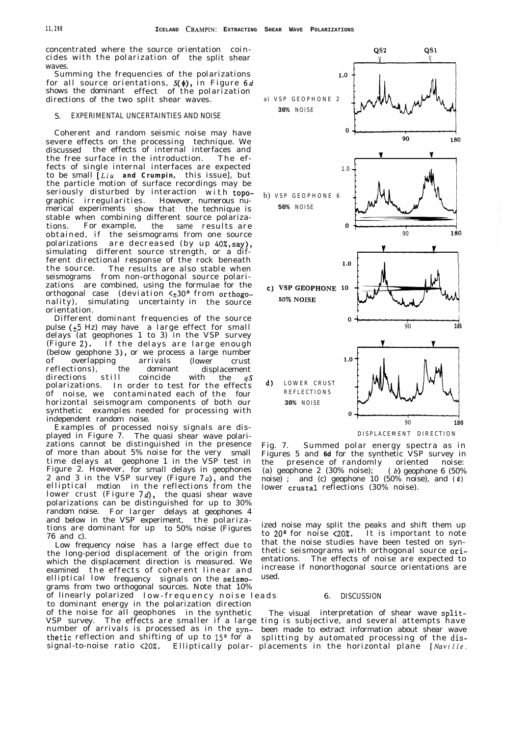concentrated where the source orientation coincides with the polarization of the split shear waves.

Summing the frequencies of the polarizations for all source orientations,  $S(\phi)$ , in Figure 6d shows the dominant effect of the polarization directions of the two split shear waves. **a) VSP GEOPHONE 2**

#### 5. EXPERIMENTAL UNCERTAINTIES AND NOISE

Coherent and random seismic noise may have severe effects on the processing technique. We discussed the effects of internal interfaces and the free surface in the introduction. The effects of single internal interfaces are expected to be small [Liu *and Crumpin,* this issue], but the particle motion of surface recordings may be seriously disturbed by interaction with topo-<br>graphic irregularities. However, numerous nugraphic irregularities. merical experiments show that the technique is stable when combining different source polarizations. For example, the same results are obtained, if the seismograms from one source polarizations are decreased (by up 40%,say), simulating different source strength, or a different directional response of the rock beneath the source. The results are also stable when seismograms from non-orthogonal source polarizations are combined, using the formulae for the orthogonal case (deviation  $\zeta_{\pm}$ 30° from orthogonality), simulating uncertainty in the source orientation.

Different dominant frequencies of the source pulse ( $\pm$ 5 Hz) may have a large effect for small delays (at geophones 1 to 3) in the VSP survey (Figure 2). If the delays are large enough (below geophone 3), or we process a large number<br>of overlapping arrivals (lower crust of overlapping arrivals (lower crust<br>reflections), the dominant displacement reflections), the dominant displacement<br>directions still coincide with the  $qS$ directions stil l coincide with the *qS* polarizations. In order to test for the effects of noise, we contaminated each of the four horizontal seismogram components of both our synthetic examples needed for processing with independent random noise.

Examples of processed noisy signals are displayed in Figure 7. The quasi shear wave polarizations cannot be distinguished in the presence of more than about 5% noise for the very small time delays at geophone 1 in the VSP test in Figure 2. However, for small delays in geophones 2 and 3 in the VSP survey (Figure  $7a$ ), and the elliptical motion in the reflections from the lower crust (Figure  $7d$ ), the quasi shear wave polarizations can be distinguished for up to 30% random noise. For larger delays at geophones 4 and below in the VSP experiment, the polarizations are dominant for up to 50% noise (Figures 76 and c).

Low frequency noise has a large effect due to the long-period displacement of the origin from which the displacement direction is measured. We entations. The effects of noise are expected to examined the effects of coherent linear and elliptical low frequency signals on the seismo- used. grams from two orthogonal sources. Note that 10% of linearly polarized low-frequency noise leads 6. DISCUSSION to dominant energy in the polarization direction of the noise for all geophones in the synthetic The visual interpretation of shear wave split-VSP survey. The effects are smaller if a large ting is subjective, and several attempts have number of arrivals is processed as in the syn- been made to extract information about shear wave number of arrivals is processed as in the syn- been made to extract information about shear wave<br>thetic reflection and shifting of up to 15° for a splitting by automated processing of the dis-





ized noise may split the peaks and shift them up to 20° for noise (20%. It is important to note that the noise studies have been tested on synthetic seismograms with orthogonal source oriincrease if nonorthogonal source orientations are

signal-to-noise ratio (20%. Elliptically polar- placements in the horizontal plane *[Nuville,*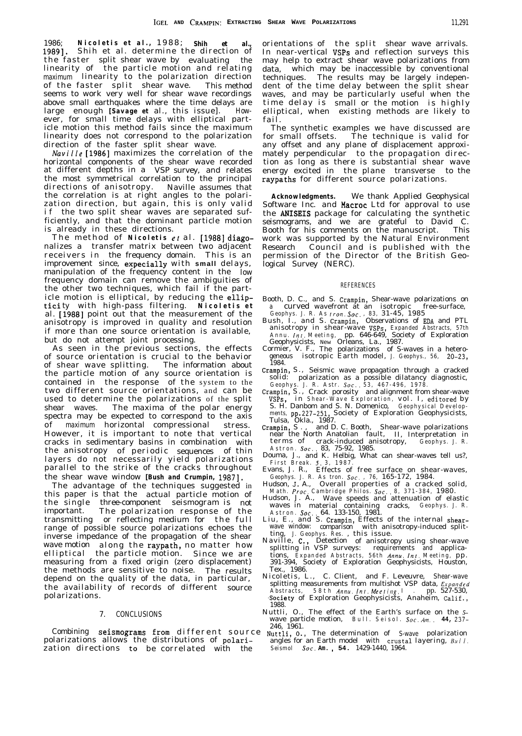1986; *Nicoletis et al.,* 1988 ; *Shih et al.,* 19891. Shih et al. determine the direction of the faster split shear wave by evaluating the linearity of evaluating maximum linearity to the polarization direction the particle motion and relating of the faster split shear wave. This method seems to work very well for shear wave recordings above small earthquakes where the time delays are large enough *[Savage et* al., this issue]. However, for small time delays with elliptical particle motion this method fails since the maximum linearity does not correspond to the polarization direction of the faster split shear wave.

*Nuville* [1986] maximizes the correlation of the horizontal components of the shear wave recorded at different depths in a VSP survey, and relates the most symmetrical correlation to the principal directions of anisotropy. Naville assumes that the correlation is at right angles to the polarization direction, but again, this is only valid if the two split shear waves are separated sufficiently, and that the dominant particle motion is already in these directions.

The method of *Nicoletis et* al. [1988] diagonalizes a transfer matrix between two adjacent receivers in the frequency domain. This is an improvement since, expecially with **small** delays, manipulation of the frequency content in the low frequency domain can remove the ambiguities of the other two techniques, which fail if the part-icle motion is elliptical, by reducing the elliptici ty with high-pass filtering. *Nicoletis e <sup>t</sup>* al. [1988] point out that the measurement of the anisotropy is improved in quality and resolution if more than one source orientation is available, but do not attempt joint processing.

As seen in the previous sections, the effects of source orientation is crucial to the behavior of shear wave splitting. The information about the particle motion of any source orientation is contained in the response of the system to the two different source orientations, and can be used to determine the polarizations of the split shear waves. The maxima of the polar energy spectra may be expected to correspond to the axis of maximum horizontal compressional stress. However, it is important to note that vertical cracks in sedimentary basins in combination with the anisotropy of periodic sequences of thin layers do not necessarily yield polarizations parallel to the strike of the cracks throughout the shear wave window *[Bush and Crumpin,* 19871.

The advantage of the techniques suggested in this paper is that the actual particle motion of the single three-component seismogram is not important. The polarization response of the transmitting or reflecting medium for the full range of possible source polarizations echoes the inverse impedance of the propagation of the shear wave motion along the raypath, no matter how elliptical the particle motion. Since we are measuring from a fixed origin (zero displacement) the methods are sensitive to noise. The results depend on the quality of the data, in particular, the availability of records of different source polarizations.

Combining 246, 1961. **Seismograms from** different source Nuttli, o., polarizations allows the distributions of polarization directions to be correlated with the *Seismol Soc.* Am., 54. 1429-1440, 1964.

orientations of the split shear wave arrivals. In near-vertical VSPs and reflection surveys this may help to extract shear wave polarizations from data, which may be inaccessible by conventional techniques. The results may be largely independent of the time delay between the split shear waves, and may be particularly useful when the time delay is small or the motion is highly elliptical, when existing methods are likely to fail.

The synthetic examples we have discussed are<br>for small offsets. The technique is valid for The technique is valid for any offset and any plane of displacement approximately perpendicular to the propagation direction as long as there is substantial shear wave energy excited in the plane transverse to the raypaths for different source polarizations.

*Acknowledgments.* We thank Applied Geophysical Software Inc. and Macroc Ltd for approval to use the ANISEIS package for calculating the synthetic seismograms, and we are grateful to David C. Booth for his comments on the manuscript. This work was supported by the Natural Environment Research Council and is published with the permission of the Director of the British Geological Survey (NERC).

#### REFERENCES

- Booth, D. C., and S. Crampin, Shear-wave polarizations on <sup>a</sup> curved wavefront at an isotropic free-surface,
- *Geophys. J. R. As Iron. Sot. , 83,* 31-45, 1985 Bush, I., and S. Crampin, Observations of EDA and PTL anisotropy in shear-wave VSPs, *Expanded Abstracts, 57th Annu. Inr. Meeting ,* pp. 646-649, Society of Exploration
- Geophysicists, New Orleans, La., 1987. Cormier, V. F., The polarizations of S-waves in a heterogeneous isotropic Earth model, *J. Geophys., 56,* 20-23, 1984.
- Crampin, S., Seismic wave propagation through a cracked solid: polarization as a possible dilatancy diagnostic,<br>*Geophys. J. R. Astr. Soc.*, 53, 467-496, 1978.<br>Crampin, S., Crack porosity and alignment from shear-wave
- VSPS, in *Shear-Wave Exploration,* vol. I, editored b y S. H. Danbom and S. N. Domenico, *Geophysical Developments,* pp.227-251, Society of Exploration Geophysicists, Tulsa, Okla., 1987. Crampin, S. , and D. C. Booth, Shear-wave polarizations
- **Crampin, S., and D. C. Booth, Shear-wave polarizations** near the North Anatolian fault, II, Interpretation in terms of crack-induced anisotropy,  $Geophys.$  J. R. terms of crack-induced anisotropy,
- *Astron. Sot..* 83, 75-92, 1985. Douma, J., and K. Helbig, What can shear-waves tell us?,
- *First Break. 5. 3, 1987 .* Evans, J. R., Effects of free surface on shear-waves,
- Geophys. J. R. As tron. Soc., 76, 165-172, 1984.<br>Hudson, J. A., Overall properties of a cracked solid,<br>Math. Proc. Cambridge Philos. Soc., 8, 371-384, 1980.<br>Hudson, J. A., Wave speeds and attenuation of elastic
- waves in material containing cracks, *Geophys. J. R.*<br>*Astron. Soc.*. 64. 133-150, 1981.<br>Liu, E., and S. Crampin, Effects of the internal shear-
- wave window: comparison with anisotropy-induced split-
- ting, *J. Geophys. Res.* , this issue. Naville, C., Detection of anisotropy using shear-wave splitting in VSP surveys: requirements and tions, applica-*Expanded Abstracts, 56th Annu. Int. Meeting,* pp. 391-394, Society of Exploration Geophysicists, Houston, Tex., 1986.<br>Nicoletis, L.,
- C. Client, and F. Leveuvre, Shear-wave splitting measurements from multishot VSP data, *Expanded*<br>Abstracts, 58th Annu. Int. Meeting. I. pp. 527-530, ,Society of Exploration Geophysicists, Anaheim, Calif., 1988.
- 7. CONCLUSIONS Nuttli, O., The effect of the Earth's surface on the Swave particle motion, *Bull. Seisol. Sot. kn..* **44,** 237-
	- The determination of S-wave polarization angles for an Earth model with crustal layering, *Bul I.*